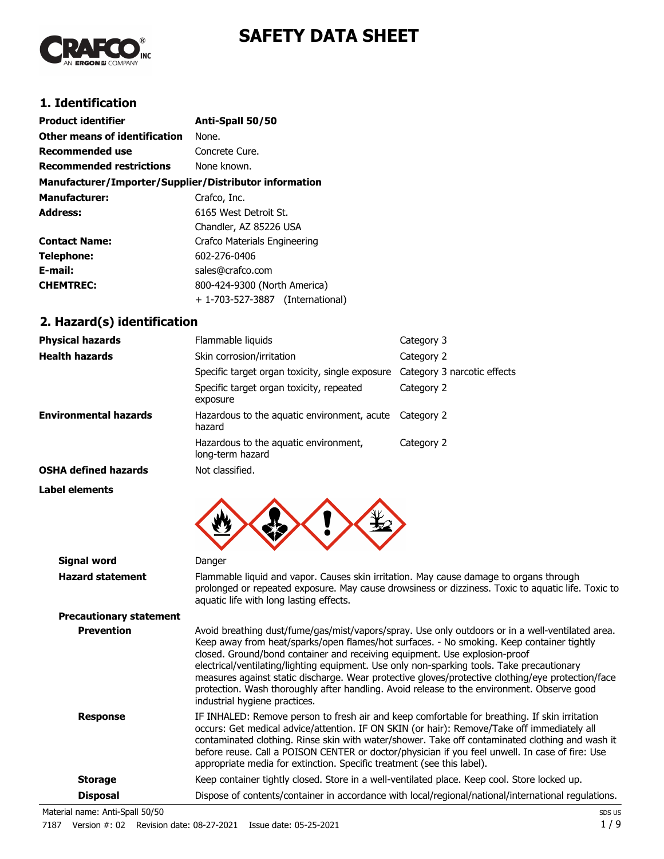

# **SAFETY DATA SHEET**

# **1. Identification**

| <b>Product identifier</b>                              | Anti-Spall 50/50                            |
|--------------------------------------------------------|---------------------------------------------|
| Other means of identification                          | None.                                       |
| Recommended use                                        | Concrete Cure.                              |
| <b>Recommended restrictions</b>                        | None known.                                 |
| Manufacturer/Importer/Supplier/Distributor information |                                             |
| <b>Manufacturer:</b>                                   | Crafco, Inc.                                |
| <b>Address:</b>                                        | 6165 West Detroit St.                       |
|                                                        | Chandler, AZ 85226 USA                      |
| <b>Contact Name:</b>                                   | <b>Crafco Materials Engineering</b>         |
| Telephone:                                             | 602-276-0406                                |
| E-mail:                                                | sales@crafco.com                            |
| <b>CHEMTREC:</b>                                       | 800-424-9300 (North America)                |
|                                                        | $+ 1 - 703 - 527 - 3887$<br>(International) |

# **2. Hazard(s) identification**

| <b>Physical hazards</b>      | Flammable liquids                                         | Category 3                  |
|------------------------------|-----------------------------------------------------------|-----------------------------|
| <b>Health hazards</b>        | Skin corrosion/irritation                                 | Category 2                  |
|                              | Specific target organ toxicity, single exposure           | Category 3 narcotic effects |
|                              | Specific target organ toxicity, repeated<br>exposure      | Category 2                  |
| <b>Environmental hazards</b> | Hazardous to the aguatic environment, acute<br>hazard     | Category 2                  |
|                              | Hazardous to the aguatic environment,<br>long-term hazard | Category 2                  |
| <b>OSHA defined hazards</b>  | Not classified.                                           |                             |
| Label elements               |                                                           |                             |



| <b>Signal word</b>             | Danger                                                                                                                                                                                                                                                                                                                                                                                                                                                                                                                                                                                                        |
|--------------------------------|---------------------------------------------------------------------------------------------------------------------------------------------------------------------------------------------------------------------------------------------------------------------------------------------------------------------------------------------------------------------------------------------------------------------------------------------------------------------------------------------------------------------------------------------------------------------------------------------------------------|
| <b>Hazard statement</b>        | Flammable liquid and vapor. Causes skin irritation. May cause damage to organs through<br>prolonged or repeated exposure. May cause drowsiness or dizziness. Toxic to aquatic life. Toxic to<br>aquatic life with long lasting effects.                                                                                                                                                                                                                                                                                                                                                                       |
| <b>Precautionary statement</b> |                                                                                                                                                                                                                                                                                                                                                                                                                                                                                                                                                                                                               |
| <b>Prevention</b>              | Avoid breathing dust/fume/gas/mist/vapors/spray. Use only outdoors or in a well-ventilated area.<br>Keep away from heat/sparks/open flames/hot surfaces. - No smoking. Keep container tightly<br>closed. Ground/bond container and receiving equipment. Use explosion-proof<br>electrical/ventilating/lighting equipment. Use only non-sparking tools. Take precautionary<br>measures against static discharge. Wear protective gloves/protective clothing/eye protection/face<br>protection. Wash thoroughly after handling. Avoid release to the environment. Observe good<br>industrial hygiene practices. |
| <b>Response</b>                | IF INHALED: Remove person to fresh air and keep comfortable for breathing. If skin irritation<br>occurs: Get medical advice/attention. IF ON SKIN (or hair): Remove/Take off immediately all<br>contaminated clothing. Rinse skin with water/shower. Take off contaminated clothing and wash it<br>before reuse. Call a POISON CENTER or doctor/physician if you feel unwell. In case of fire: Use<br>appropriate media for extinction. Specific treatment (see this label).                                                                                                                                  |
| <b>Storage</b>                 | Keep container tightly closed. Store in a well-ventilated place. Keep cool. Store locked up.                                                                                                                                                                                                                                                                                                                                                                                                                                                                                                                  |
| <b>Disposal</b>                | Dispose of contents/container in accordance with local/regional/national/international regulations.                                                                                                                                                                                                                                                                                                                                                                                                                                                                                                           |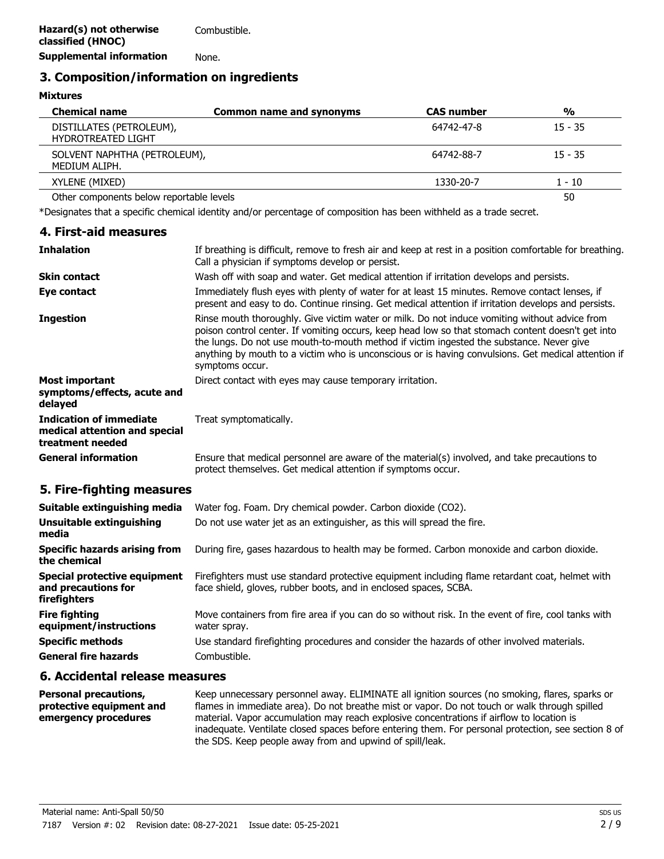### **3. Composition/information on ingredients**

#### **Mixtures**

| <b>Chemical name</b>                                  | <b>Common name and synonyms</b> | <b>CAS number</b> | $\frac{0}{0}$ |
|-------------------------------------------------------|---------------------------------|-------------------|---------------|
| DISTILLATES (PETROLEUM),<br><b>HYDROTREATED LIGHT</b> |                                 | 64742-47-8        | $15 - 35$     |
| SOLVENT NAPHTHA (PETROLEUM),<br>MEDIUM ALIPH.         |                                 | 64742-88-7        | $15 - 35$     |
| XYLENE (MIXED)                                        |                                 | 1330-20-7         | $1 - 10$      |
| Other components below reportable levels              |                                 |                   | 50            |

\*Designates that a specific chemical identity and/or percentage of composition has been withheld as a trade secret.

| 4. First-aid measures                                                               |                                                                                                                                                                                                                                                                                                                                                                                                                          |  |
|-------------------------------------------------------------------------------------|--------------------------------------------------------------------------------------------------------------------------------------------------------------------------------------------------------------------------------------------------------------------------------------------------------------------------------------------------------------------------------------------------------------------------|--|
| <b>Inhalation</b>                                                                   | If breathing is difficult, remove to fresh air and keep at rest in a position comfortable for breathing.<br>Call a physician if symptoms develop or persist.                                                                                                                                                                                                                                                             |  |
| <b>Skin contact</b>                                                                 | Wash off with soap and water. Get medical attention if irritation develops and persists.                                                                                                                                                                                                                                                                                                                                 |  |
| Eye contact                                                                         | Immediately flush eyes with plenty of water for at least 15 minutes. Remove contact lenses, if<br>present and easy to do. Continue rinsing. Get medical attention if irritation develops and persists.                                                                                                                                                                                                                   |  |
| <b>Ingestion</b>                                                                    | Rinse mouth thoroughly. Give victim water or milk. Do not induce vomiting without advice from<br>poison control center. If vomiting occurs, keep head low so that stomach content doesn't get into<br>the lungs. Do not use mouth-to-mouth method if victim ingested the substance. Never give<br>anything by mouth to a victim who is unconscious or is having convulsions. Get medical attention if<br>symptoms occur. |  |
| Most important<br>symptoms/effects, acute and<br>delayed                            | Direct contact with eyes may cause temporary irritation.                                                                                                                                                                                                                                                                                                                                                                 |  |
| <b>Indication of immediate</b><br>medical attention and special<br>treatment needed | Treat symptomatically.                                                                                                                                                                                                                                                                                                                                                                                                   |  |
| <b>General information</b>                                                          | Ensure that medical personnel are aware of the material(s) involved, and take precautions to<br>protect themselves. Get medical attention if symptoms occur.                                                                                                                                                                                                                                                             |  |
| 5. Fire-fighting measures                                                           |                                                                                                                                                                                                                                                                                                                                                                                                                          |  |
| Suitable extinguishing media                                                        | Water fog. Foam. Dry chemical powder. Carbon dioxide (CO2).                                                                                                                                                                                                                                                                                                                                                              |  |
| <b>Unsuitable extinguishing</b><br>media                                            | Do not use water jet as an extinguisher, as this will spread the fire.                                                                                                                                                                                                                                                                                                                                                   |  |
| <b>Specific hazards arising from</b><br>the chemical                                | During fire, gases hazardous to health may be formed. Carbon monoxide and carbon dioxide.                                                                                                                                                                                                                                                                                                                                |  |
| <b>Special protective equipment</b><br>and precautions for<br>firefighters          | Firefighters must use standard protective equipment including flame retardant coat, helmet with<br>face shield, gloves, rubber boots, and in enclosed spaces, SCBA.                                                                                                                                                                                                                                                      |  |
| <b>Fire fighting</b><br>equipment/instructions                                      | Move containers from fire area if you can do so without risk. In the event of fire, cool tanks with<br>water spray.                                                                                                                                                                                                                                                                                                      |  |

**General fire hazards** Combustible.

### **6. Accidental release measures**

Keep unnecessary personnel away. ELIMINATE all ignition sources (no smoking, flares, sparks or flames in immediate area). Do not breathe mist or vapor. Do not touch or walk through spilled material. Vapor accumulation may reach explosive concentrations if airflow to location is inadequate. Ventilate closed spaces before entering them. For personal protection, see section 8 of the SDS. Keep people away from and upwind of spill/leak. **Personal precautions, protective equipment and emergency procedures**

**Specific methods** Use standard firefighting procedures and consider the hazards of other involved materials.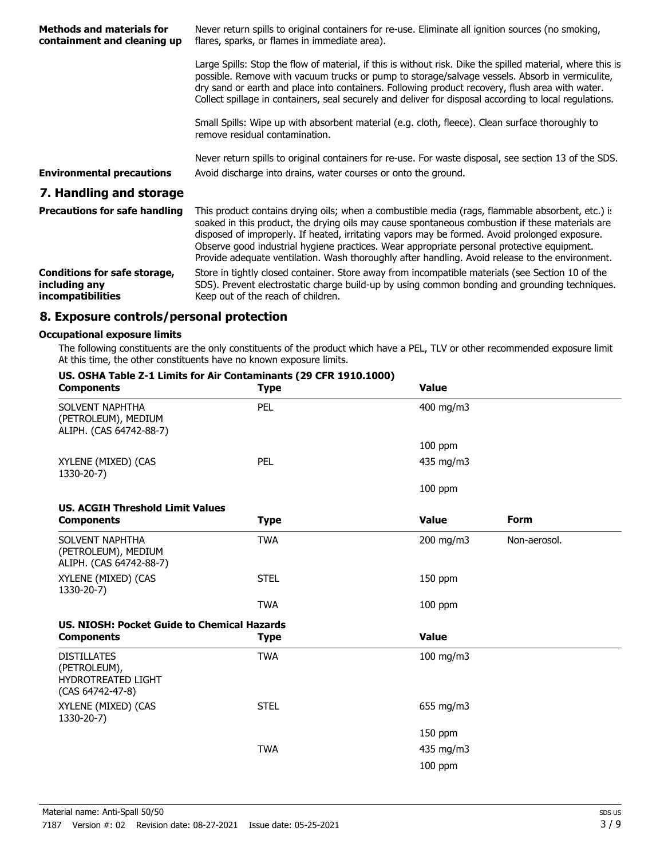| <b>Methods and materials for</b><br>containment and cleaning up                  | Never return spills to original containers for re-use. Eliminate all ignition sources (no smoking,<br>flares, sparks, or flames in immediate area).                                                                                                                                                                                                                                                                                                                                                   |
|----------------------------------------------------------------------------------|-------------------------------------------------------------------------------------------------------------------------------------------------------------------------------------------------------------------------------------------------------------------------------------------------------------------------------------------------------------------------------------------------------------------------------------------------------------------------------------------------------|
|                                                                                  | Large Spills: Stop the flow of material, if this is without risk. Dike the spilled material, where this is<br>possible. Remove with vacuum trucks or pump to storage/salvage vessels. Absorb in vermiculite,<br>dry sand or earth and place into containers. Following product recovery, flush area with water.<br>Collect spillage in containers, seal securely and deliver for disposal according to local regulations.                                                                             |
|                                                                                  | Small Spills: Wipe up with absorbent material (e.g. cloth, fleece). Clean surface thoroughly to<br>remove residual contamination.                                                                                                                                                                                                                                                                                                                                                                     |
| <b>Environmental precautions</b>                                                 | Never return spills to original containers for re-use. For waste disposal, see section 13 of the SDS.<br>Avoid discharge into drains, water courses or onto the ground.                                                                                                                                                                                                                                                                                                                               |
| 7. Handling and storage                                                          |                                                                                                                                                                                                                                                                                                                                                                                                                                                                                                       |
| <b>Precautions for safe handling</b>                                             | This product contains drying oils; when a combustible media (rags, flammable absorbent, etc.) is<br>soaked in this product, the drying oils may cause spontaneous combustion if these materials are<br>disposed of improperly. If heated, irritating vapors may be formed. Avoid prolonged exposure.<br>Observe good industrial hygiene practices. Wear appropriate personal protective equipment.<br>Provide adequate ventilation. Wash thoroughly after handling. Avoid release to the environment. |
| <b>Conditions for safe storage,</b><br>including any<br><i>incompatibilities</i> | Store in tightly closed container. Store away from incompatible materials (see Section 10 of the<br>SDS). Prevent electrostatic charge build-up by using common bonding and grounding techniques.<br>Keep out of the reach of children.                                                                                                                                                                                                                                                               |

### **8. Exposure controls/personal protection**

#### **Occupational exposure limits**

The following constituents are the only constituents of the product which have a PEL, TLV or other recommended exposure limit. At this time, the other constituents have no known exposure limits.

| US. OSHA Table Z-1 Limits for Air Contaminants (29 CFR 1910.1000)<br><b>Components</b> | <b>Type</b> | <b>Value</b> |              |
|----------------------------------------------------------------------------------------|-------------|--------------|--------------|
| SOLVENT NAPHTHA<br>(PETROLEUM), MEDIUM<br>ALIPH. (CAS 64742-88-7)                      | PEL         | 400 mg/m3    |              |
|                                                                                        |             | $100$ ppm    |              |
| XYLENE (MIXED) (CAS<br>1330-20-7)                                                      | <b>PEL</b>  | 435 mg/m3    |              |
|                                                                                        |             | $100$ ppm    |              |
| <b>US. ACGIH Threshold Limit Values</b>                                                |             |              |              |
| <b>Components</b>                                                                      | <b>Type</b> | <b>Value</b> | <b>Form</b>  |
| SOLVENT NAPHTHA<br>(PETROLEUM), MEDIUM<br>ALIPH. (CAS 64742-88-7)                      | <b>TWA</b>  | 200 mg/m3    | Non-aerosol. |
| XYLENE (MIXED) (CAS<br>1330-20-7)                                                      | <b>STEL</b> | $150$ ppm    |              |
|                                                                                        | <b>TWA</b>  | $100$ ppm    |              |
| <b>US. NIOSH: Pocket Guide to Chemical Hazards</b>                                     |             |              |              |
| <b>Components</b>                                                                      | <b>Type</b> | <b>Value</b> |              |
| <b>DISTILLATES</b><br>(PETROLEUM),<br><b>HYDROTREATED LIGHT</b><br>(CAS 64742-47-8)    | <b>TWA</b>  | 100 mg/m3    |              |
| XYLENE (MIXED) (CAS<br>1330-20-7)                                                      | <b>STEL</b> | 655 mg/m3    |              |
|                                                                                        |             | $150$ ppm    |              |
|                                                                                        | <b>TWA</b>  | 435 mg/m3    |              |
|                                                                                        |             | $100$ ppm    |              |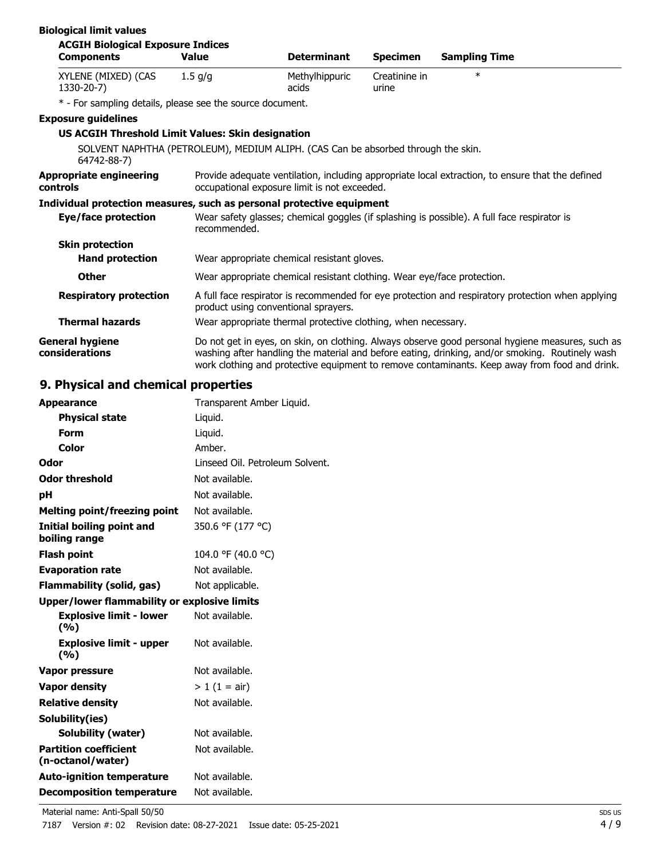| <b>Biological limit values</b><br><b>ACGIH Biological Exposure Indices</b>                       |                                      |                                                                         |                        |                                                                                                                                                                                                                                                                                                      |
|--------------------------------------------------------------------------------------------------|--------------------------------------|-------------------------------------------------------------------------|------------------------|------------------------------------------------------------------------------------------------------------------------------------------------------------------------------------------------------------------------------------------------------------------------------------------------------|
| <b>Components</b>                                                                                | <b>Value</b>                         | <b>Determinant</b>                                                      | <b>Specimen</b>        | <b>Sampling Time</b>                                                                                                                                                                                                                                                                                 |
| XYLENE (MIXED) (CAS<br>1330-20-7)                                                                | $1.5$ g/g                            | Methylhippuric<br>acids                                                 | Creatinine in<br>urine | $\ast$                                                                                                                                                                                                                                                                                               |
| * - For sampling details, please see the source document.                                        |                                      |                                                                         |                        |                                                                                                                                                                                                                                                                                                      |
| <b>Exposure guidelines</b>                                                                       |                                      |                                                                         |                        |                                                                                                                                                                                                                                                                                                      |
| US ACGIH Threshold Limit Values: Skin designation                                                |                                      |                                                                         |                        |                                                                                                                                                                                                                                                                                                      |
| SOLVENT NAPHTHA (PETROLEUM), MEDIUM ALIPH. (CAS Can be absorbed through the skin.<br>64742-88-7) |                                      |                                                                         |                        |                                                                                                                                                                                                                                                                                                      |
| <b>Appropriate engineering</b><br><b>controls</b>                                                |                                      | occupational exposure limit is not exceeded.                            |                        | Provide adequate ventilation, including appropriate local extraction, to ensure that the defined                                                                                                                                                                                                     |
| Individual protection measures, such as personal protective equipment                            |                                      |                                                                         |                        |                                                                                                                                                                                                                                                                                                      |
| Eye/face protection                                                                              | recommended.                         |                                                                         |                        | Wear safety glasses; chemical goggles (if splashing is possible). A full face respirator is                                                                                                                                                                                                          |
| <b>Skin protection</b>                                                                           |                                      |                                                                         |                        |                                                                                                                                                                                                                                                                                                      |
| <b>Hand protection</b>                                                                           |                                      | Wear appropriate chemical resistant gloves.                             |                        |                                                                                                                                                                                                                                                                                                      |
| <b>Other</b>                                                                                     |                                      | Wear appropriate chemical resistant clothing. Wear eye/face protection. |                        |                                                                                                                                                                                                                                                                                                      |
| <b>Respiratory protection</b>                                                                    | product using conventional sprayers. |                                                                         |                        | A full face respirator is recommended for eye protection and respiratory protection when applying                                                                                                                                                                                                    |
| <b>Thermal hazards</b>                                                                           |                                      | Wear appropriate thermal protective clothing, when necessary.           |                        |                                                                                                                                                                                                                                                                                                      |
| <b>General hygiene</b><br>considerations                                                         |                                      |                                                                         |                        | Do not get in eyes, on skin, on clothing. Always observe good personal hygiene measures, such as<br>washing after handling the material and before eating, drinking, and/or smoking. Routinely wash<br>work clothing and protective equipment to remove contaminants. Keep away from food and drink. |

# **9. Physical and chemical properties**

| <b>Appearance</b>                                 | Transparent Amber Liquid.       |
|---------------------------------------------------|---------------------------------|
| <b>Physical state</b>                             | Liquid.                         |
| Form                                              | Liquid.                         |
| Color                                             | Amber.                          |
| Odor                                              | Linseed Oil. Petroleum Solvent. |
| <b>Odor threshold</b>                             | Not available.                  |
| рH                                                | Not available.                  |
| <b>Melting point/freezing point</b>               | Not available.                  |
| Initial boiling point and<br>boiling range        | 350.6 °F (177 °C)               |
| <b>Flash point</b>                                | 104.0 °F (40.0 °C)              |
| <b>Evaporation rate</b>                           | Not available.                  |
| <b>Flammability (solid, gas)</b>                  | Not applicable.                 |
| Upper/lower flammability or explosive limits      |                                 |
| <b>Explosive limit - lower</b><br>(9/0)           | Not available.                  |
| <b>Explosive limit - upper</b><br>(%)             | Not available.                  |
| Vapor pressure                                    | Not available.                  |
| <b>Vapor density</b>                              | $> 1$ (1 = air)                 |
| <b>Relative density</b>                           | Not available.                  |
| Solubility(ies)                                   |                                 |
| <b>Solubility (water)</b>                         | Not available.                  |
| <b>Partition coefficient</b><br>(n-octanol/water) | Not available.                  |
| <b>Auto-ignition temperature</b>                  | Not available.                  |
|                                                   |                                 |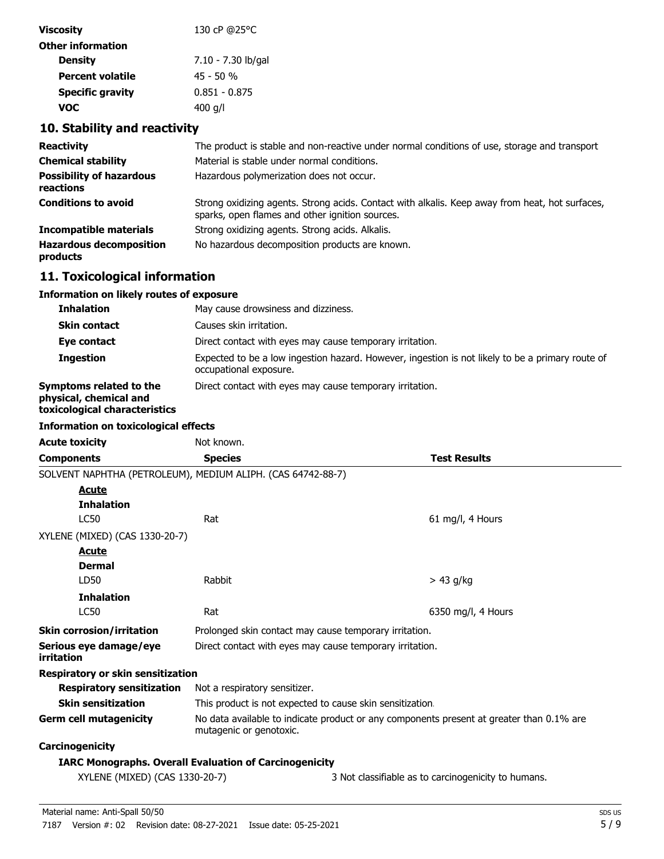| <b>Viscosity</b>         | 130 cP @25°C       |  |
|--------------------------|--------------------|--|
| <b>Other information</b> |                    |  |
| <b>Density</b>           | 7.10 - 7.30 lb/gal |  |
| <b>Percent volatile</b>  | $45 - 50 %$        |  |
| <b>Specific gravity</b>  | $0.851 - 0.875$    |  |
| voc                      | 400 g/l            |  |

# **10. Stability and reactivity**

| <b>Reactivity</b>                            | The product is stable and non-reactive under normal conditions of use, storage and transport                                                       |
|----------------------------------------------|----------------------------------------------------------------------------------------------------------------------------------------------------|
| <b>Chemical stability</b>                    | Material is stable under normal conditions.                                                                                                        |
| <b>Possibility of hazardous</b><br>reactions | Hazardous polymerization does not occur.                                                                                                           |
| <b>Conditions to avoid</b>                   | Strong oxidizing agents. Strong acids. Contact with alkalis. Keep away from heat, hot surfaces,<br>sparks, open flames and other ignition sources. |
| <b>Incompatible materials</b>                | Strong oxidizing agents. Strong acids. Alkalis.                                                                                                    |
| <b>Hazardous decomposition</b><br>products   | No hazardous decomposition products are known.                                                                                                     |

# **11. Toxicological information**

### **Information on likely routes of exposure**

| <b>Inhalation</b>                                                                  | May cause drowsiness and dizziness.                                                                                        |
|------------------------------------------------------------------------------------|----------------------------------------------------------------------------------------------------------------------------|
| <b>Skin contact</b>                                                                | Causes skin irritation.                                                                                                    |
| Eye contact                                                                        | Direct contact with eyes may cause temporary irritation.                                                                   |
| <b>Ingestion</b>                                                                   | Expected to be a low ingestion hazard. However, ingestion is not likely to be a primary route of<br>occupational exposure. |
| Symptoms related to the<br>physical, chemical and<br>toxicological characteristics | Direct contact with eyes may cause temporary irritation.                                                                   |

### **Information on toxicological effects**

| <b>Acute toxicity</b>                                       | Not known.                                                    |                                                                                          |
|-------------------------------------------------------------|---------------------------------------------------------------|------------------------------------------------------------------------------------------|
| <b>Components</b>                                           | <b>Species</b>                                                | <b>Test Results</b>                                                                      |
| SOLVENT NAPHTHA (PETROLEUM), MEDIUM ALIPH. (CAS 64742-88-7) |                                                               |                                                                                          |
| <b>Acute</b>                                                |                                                               |                                                                                          |
| <b>Inhalation</b>                                           |                                                               |                                                                                          |
| <b>LC50</b>                                                 | Rat                                                           | 61 mg/l, 4 Hours                                                                         |
| XYLENE (MIXED) (CAS 1330-20-7)                              |                                                               |                                                                                          |
| Acute                                                       |                                                               |                                                                                          |
| <b>Dermal</b>                                               |                                                               |                                                                                          |
| LD50                                                        | Rabbit                                                        | $> 43$ g/kg                                                                              |
| <b>Inhalation</b>                                           |                                                               |                                                                                          |
| <b>LC50</b>                                                 | Rat                                                           | 6350 mg/l, 4 Hours                                                                       |
| <b>Skin corrosion/irritation</b>                            | Prolonged skin contact may cause temporary irritation.        |                                                                                          |
| Serious eye damage/eye<br>irritation                        | Direct contact with eyes may cause temporary irritation.      |                                                                                          |
| Respiratory or skin sensitization                           |                                                               |                                                                                          |
| <b>Respiratory sensitization</b>                            | Not a respiratory sensitizer.                                 |                                                                                          |
| <b>Skin sensitization</b>                                   | This product is not expected to cause skin sensitization.     |                                                                                          |
| <b>Germ cell mutagenicity</b>                               | mutagenic or genotoxic.                                       | No data available to indicate product or any components present at greater than 0.1% are |
| Carcinogenicity                                             |                                                               |                                                                                          |
|                                                             | <b>IARC Monographs. Overall Evaluation of Carcinogenicity</b> |                                                                                          |
| XYLENE (MIXED) (CAS 1330-20-7)                              |                                                               | 3 Not classifiable as to carcinogenicity to humans.                                      |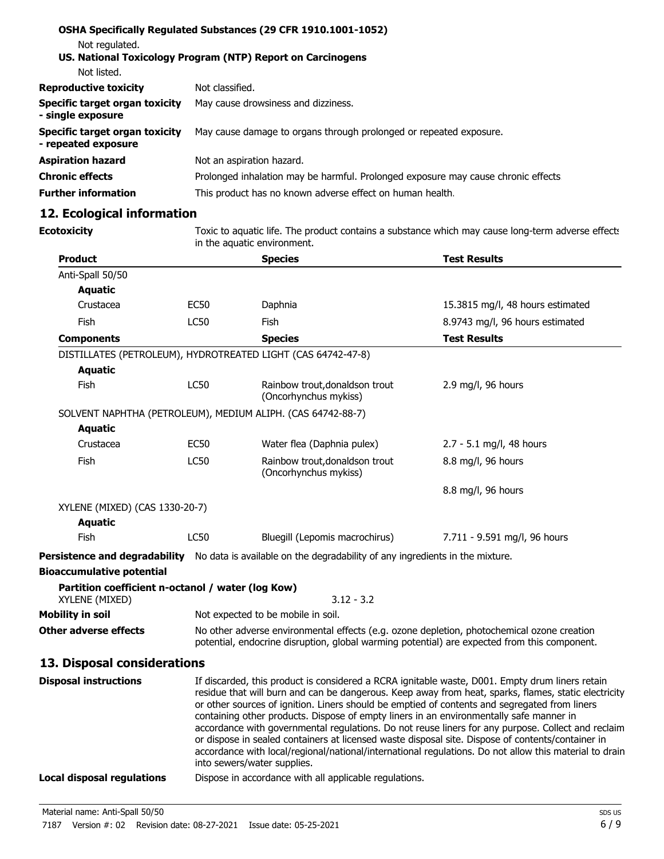| OSHA Specifically Regulated Substances (29 CFR 1910.1001-1052)<br>Not regulated.<br>US. National Toxicology Program (NTP) Report on Carcinogens<br>Not listed. |                                                                                   |  |  |
|----------------------------------------------------------------------------------------------------------------------------------------------------------------|-----------------------------------------------------------------------------------|--|--|
| <b>Reproductive toxicity</b>                                                                                                                                   | Not classified.                                                                   |  |  |
| Specific target organ toxicity<br>- single exposure                                                                                                            | May cause drowsiness and dizziness.                                               |  |  |
| Specific target organ toxicity<br>- repeated exposure                                                                                                          | May cause damage to organs through prolonged or repeated exposure.                |  |  |
| <b>Aspiration hazard</b>                                                                                                                                       | Not an aspiration hazard.                                                         |  |  |
| <b>Chronic effects</b>                                                                                                                                         | Prolonged inhalation may be harmful. Prolonged exposure may cause chronic effects |  |  |
| <b>Further information</b>                                                                                                                                     | This product has no known adverse effect on human health.                         |  |  |

# **12. Ecological information**

| <b>Ecotoxicity</b>                                | Toxic to aquatic life. The product contains a substance which may cause long-term adverse effects<br>in the aquatic environment.                                                                                                                                                                                                                                                                                                                                                                                                                                                                                                                                                                                                                        |                                                                                                            |                                  |  |
|---------------------------------------------------|---------------------------------------------------------------------------------------------------------------------------------------------------------------------------------------------------------------------------------------------------------------------------------------------------------------------------------------------------------------------------------------------------------------------------------------------------------------------------------------------------------------------------------------------------------------------------------------------------------------------------------------------------------------------------------------------------------------------------------------------------------|------------------------------------------------------------------------------------------------------------|----------------------------------|--|
| <b>Product</b>                                    |                                                                                                                                                                                                                                                                                                                                                                                                                                                                                                                                                                                                                                                                                                                                                         | <b>Species</b>                                                                                             | <b>Test Results</b>              |  |
| Anti-Spall 50/50                                  |                                                                                                                                                                                                                                                                                                                                                                                                                                                                                                                                                                                                                                                                                                                                                         |                                                                                                            |                                  |  |
| <b>Aquatic</b>                                    |                                                                                                                                                                                                                                                                                                                                                                                                                                                                                                                                                                                                                                                                                                                                                         |                                                                                                            |                                  |  |
| Crustacea                                         | <b>EC50</b>                                                                                                                                                                                                                                                                                                                                                                                                                                                                                                                                                                                                                                                                                                                                             | Daphnia                                                                                                    | 15.3815 mg/l, 48 hours estimated |  |
| Fish                                              | <b>LC50</b>                                                                                                                                                                                                                                                                                                                                                                                                                                                                                                                                                                                                                                                                                                                                             | Fish                                                                                                       | 8.9743 mg/l, 96 hours estimated  |  |
| <b>Components</b>                                 |                                                                                                                                                                                                                                                                                                                                                                                                                                                                                                                                                                                                                                                                                                                                                         | <b>Species</b>                                                                                             | <b>Test Results</b>              |  |
|                                                   |                                                                                                                                                                                                                                                                                                                                                                                                                                                                                                                                                                                                                                                                                                                                                         | DISTILLATES (PETROLEUM), HYDROTREATED LIGHT (CAS 64742-47-8)                                               |                                  |  |
| <b>Aquatic</b>                                    |                                                                                                                                                                                                                                                                                                                                                                                                                                                                                                                                                                                                                                                                                                                                                         |                                                                                                            |                                  |  |
| Fish                                              | <b>LC50</b>                                                                                                                                                                                                                                                                                                                                                                                                                                                                                                                                                                                                                                                                                                                                             | Rainbow trout, donaldson trout<br>(Oncorhynchus mykiss)                                                    | $2.9 \text{ mg/l}$ , 96 hours    |  |
|                                                   |                                                                                                                                                                                                                                                                                                                                                                                                                                                                                                                                                                                                                                                                                                                                                         | SOLVENT NAPHTHA (PETROLEUM), MEDIUM ALIPH. (CAS 64742-88-7)                                                |                                  |  |
| <b>Aquatic</b>                                    |                                                                                                                                                                                                                                                                                                                                                                                                                                                                                                                                                                                                                                                                                                                                                         |                                                                                                            |                                  |  |
| Crustacea                                         | <b>EC50</b>                                                                                                                                                                                                                                                                                                                                                                                                                                                                                                                                                                                                                                                                                                                                             | Water flea (Daphnia pulex)                                                                                 | 2.7 - 5.1 mg/l, 48 hours         |  |
| Fish                                              | <b>LC50</b>                                                                                                                                                                                                                                                                                                                                                                                                                                                                                                                                                                                                                                                                                                                                             | Rainbow trout, donaldson trout<br>(Oncorhynchus mykiss)                                                    | 8.8 mg/l, 96 hours               |  |
|                                                   |                                                                                                                                                                                                                                                                                                                                                                                                                                                                                                                                                                                                                                                                                                                                                         |                                                                                                            | 8.8 mg/l, 96 hours               |  |
| XYLENE (MIXED) (CAS 1330-20-7)                    |                                                                                                                                                                                                                                                                                                                                                                                                                                                                                                                                                                                                                                                                                                                                                         |                                                                                                            |                                  |  |
| <b>Aquatic</b>                                    |                                                                                                                                                                                                                                                                                                                                                                                                                                                                                                                                                                                                                                                                                                                                                         |                                                                                                            |                                  |  |
| Fish                                              | <b>LC50</b>                                                                                                                                                                                                                                                                                                                                                                                                                                                                                                                                                                                                                                                                                                                                             | Bluegill (Lepomis macrochirus)                                                                             | 7.711 - 9.591 mg/l, 96 hours     |  |
|                                                   |                                                                                                                                                                                                                                                                                                                                                                                                                                                                                                                                                                                                                                                                                                                                                         | Persistence and degradability No data is available on the degradability of any ingredients in the mixture. |                                  |  |
| <b>Bioaccumulative potential</b>                  |                                                                                                                                                                                                                                                                                                                                                                                                                                                                                                                                                                                                                                                                                                                                                         |                                                                                                            |                                  |  |
| Partition coefficient n-octanol / water (log Kow) |                                                                                                                                                                                                                                                                                                                                                                                                                                                                                                                                                                                                                                                                                                                                                         |                                                                                                            |                                  |  |
| XYLENE (MIXED)                                    |                                                                                                                                                                                                                                                                                                                                                                                                                                                                                                                                                                                                                                                                                                                                                         | $3.12 - 3.2$                                                                                               |                                  |  |
| <b>Mobility in soil</b>                           |                                                                                                                                                                                                                                                                                                                                                                                                                                                                                                                                                                                                                                                                                                                                                         | Not expected to be mobile in soil.                                                                         |                                  |  |
| <b>Other adverse effects</b>                      | No other adverse environmental effects (e.g. ozone depletion, photochemical ozone creation<br>potential, endocrine disruption, global warming potential) are expected from this component.                                                                                                                                                                                                                                                                                                                                                                                                                                                                                                                                                              |                                                                                                            |                                  |  |
| 13. Disposal considerations                       |                                                                                                                                                                                                                                                                                                                                                                                                                                                                                                                                                                                                                                                                                                                                                         |                                                                                                            |                                  |  |
| <b>Disposal instructions</b>                      | If discarded, this product is considered a RCRA ignitable waste, D001. Empty drum liners retain<br>residue that will burn and can be dangerous. Keep away from heat, sparks, flames, static electricity<br>or other sources of ignition. Liners should be emptied of contents and segregated from liners<br>containing other products. Dispose of empty liners in an environmentally safe manner in<br>accordance with governmental regulations. Do not reuse liners for any purpose. Collect and reclaim<br>or dispose in sealed containers at licensed waste disposal site. Dispose of contents/container in<br>accordance with local/regional/national/international regulations. Do not allow this material to drain<br>into sewers/water supplies. |                                                                                                            |                                  |  |
| <b>Local disposal regulations</b>                 |                                                                                                                                                                                                                                                                                                                                                                                                                                                                                                                                                                                                                                                                                                                                                         | Dispose in accordance with all applicable regulations.                                                     |                                  |  |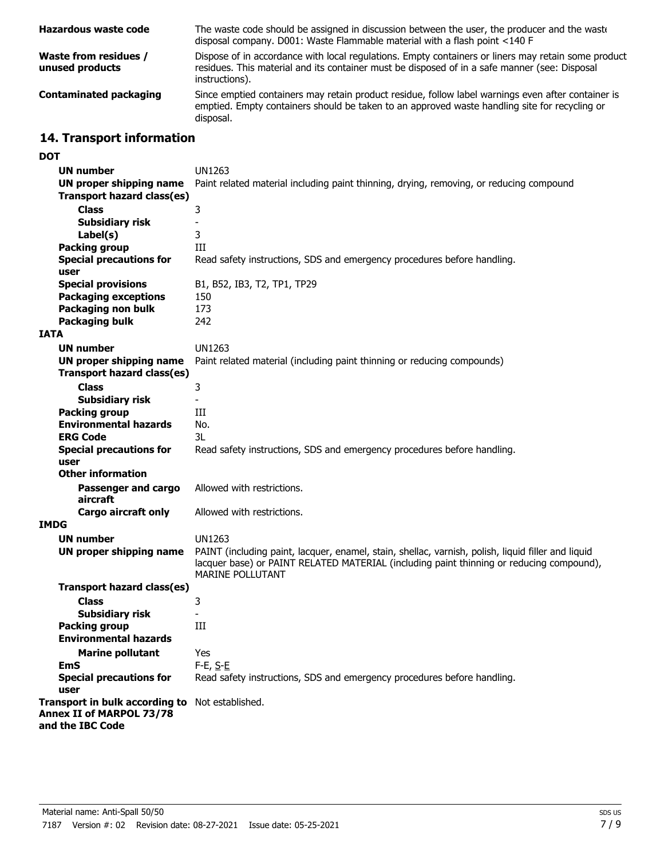| Hazardous waste code                            | The waste code should be assigned in discussion between the user, the producer and the waste<br>disposal company. D001: Waste Flammable material with a flash point <140 F                                             |
|-------------------------------------------------|------------------------------------------------------------------------------------------------------------------------------------------------------------------------------------------------------------------------|
| <b>Waste from residues /</b><br>unused products | Dispose of in accordance with local regulations. Empty containers or liners may retain some product<br>residues. This material and its container must be disposed of in a safe manner (see: Disposal<br>instructions). |
| <b>Contaminated packaging</b>                   | Since emptied containers may retain product residue, follow label warnings even after container is<br>emptied. Empty containers should be taken to an approved waste handling site for recycling or<br>disposal.       |

# **14. Transport information**

### **DOT**

|             | <b>UN number</b>               | UN1263                                                                                                                                                                                         |
|-------------|--------------------------------|------------------------------------------------------------------------------------------------------------------------------------------------------------------------------------------------|
|             | UN proper shipping name        | Paint related material including paint thinning, drying, removing, or reducing compound                                                                                                        |
|             | Transport hazard class(es)     |                                                                                                                                                                                                |
|             | <b>Class</b>                   | 3                                                                                                                                                                                              |
|             | Subsidiary risk                | $\overline{\phantom{a}}$                                                                                                                                                                       |
|             | Label(s)                       | 3                                                                                                                                                                                              |
|             | <b>Packing group</b>           | Ш                                                                                                                                                                                              |
|             | <b>Special precautions for</b> | Read safety instructions, SDS and emergency procedures before handling.                                                                                                                        |
|             | user                           |                                                                                                                                                                                                |
|             | <b>Special provisions</b>      | B1, B52, IB3, T2, TP1, TP29                                                                                                                                                                    |
|             | <b>Packaging exceptions</b>    | 150                                                                                                                                                                                            |
|             | Packaging non bulk             | 173                                                                                                                                                                                            |
|             | <b>Packaging bulk</b>          | 242                                                                                                                                                                                            |
| <b>IATA</b> |                                |                                                                                                                                                                                                |
|             | <b>UN number</b>               | <b>UN1263</b>                                                                                                                                                                                  |
|             | UN proper shipping name        | Paint related material (including paint thinning or reducing compounds)                                                                                                                        |
|             | Transport hazard class(es)     |                                                                                                                                                                                                |
|             | <b>Class</b>                   | 3                                                                                                                                                                                              |
|             | <b>Subsidiary risk</b>         | $\blacksquare$                                                                                                                                                                                 |
|             | <b>Packing group</b>           | Ш                                                                                                                                                                                              |
|             | <b>Environmental hazards</b>   | No.                                                                                                                                                                                            |
|             | <b>ERG Code</b>                | 3L                                                                                                                                                                                             |
|             | <b>Special precautions for</b> | Read safety instructions, SDS and emergency procedures before handling.                                                                                                                        |
|             | user                           |                                                                                                                                                                                                |
|             | <b>Other information</b>       |                                                                                                                                                                                                |
|             | Passenger and cargo            | Allowed with restrictions.                                                                                                                                                                     |
|             | aircraft                       |                                                                                                                                                                                                |
|             | <b>Cargo aircraft only</b>     | Allowed with restrictions.                                                                                                                                                                     |
| IMDG        |                                |                                                                                                                                                                                                |
|             | UN number                      | <b>UN1263</b>                                                                                                                                                                                  |
|             | UN proper shipping name        | PAINT (including paint, lacquer, enamel, stain, shellac, varnish, polish, liquid filler and liquid<br>lacquer base) or PAINT RELATED MATERIAL (including paint thinning or reducing compound), |
|             |                                | MARINE POLLUTANT                                                                                                                                                                               |
|             | Transport hazard class(es)     |                                                                                                                                                                                                |
|             | <b>Class</b>                   | 3                                                                                                                                                                                              |
|             | <b>Subsidiary risk</b>         | $\blacksquare$                                                                                                                                                                                 |
|             | <b>Packing group</b>           | III                                                                                                                                                                                            |
|             | <b>Environmental hazards</b>   |                                                                                                                                                                                                |
|             | <b>Marine pollutant</b>        | Yes                                                                                                                                                                                            |
|             | <b>EmS</b>                     | $F-E, S-E$                                                                                                                                                                                     |
|             | <b>Special precautions for</b> | Read safety instructions, SDS and emergency procedures before handling.                                                                                                                        |
|             | user                           |                                                                                                                                                                                                |
|             | Transport in bulk according to | Not established.                                                                                                                                                                               |
|             | Annex II of MARPOL 73/78       |                                                                                                                                                                                                |
|             | and the IBC Code               |                                                                                                                                                                                                |
|             |                                |                                                                                                                                                                                                |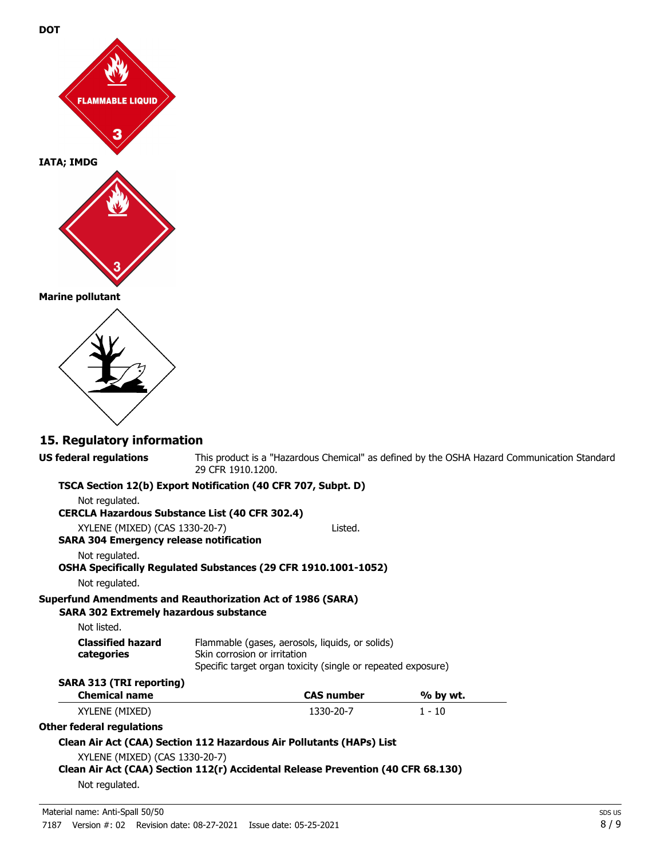



# **15. Regulatory information**

| <b>US federal regulations</b>                                                    | 29 CFR 1910.1200.                                            |                   | This product is a "Hazardous Chemical" as defined by the OSHA Hazard Communication Standard |
|----------------------------------------------------------------------------------|--------------------------------------------------------------|-------------------|---------------------------------------------------------------------------------------------|
| TSCA Section 12(b) Export Notification (40 CFR 707, Subpt. D)                    |                                                              |                   |                                                                                             |
| Not regulated.                                                                   |                                                              |                   |                                                                                             |
| <b>CERCLA Hazardous Substance List (40 CFR 302.4)</b>                            |                                                              |                   |                                                                                             |
| XYLENE (MIXED) (CAS 1330-20-7)                                                   |                                                              | Listed.           |                                                                                             |
| <b>SARA 304 Emergency release notification</b>                                   |                                                              |                   |                                                                                             |
| Not regulated.                                                                   |                                                              |                   |                                                                                             |
| OSHA Specifically Regulated Substances (29 CFR 1910.1001-1052)                   |                                                              |                   |                                                                                             |
| Not regulated.                                                                   |                                                              |                   |                                                                                             |
| <b>Superfund Amendments and Reauthorization Act of 1986 (SARA)</b>               |                                                              |                   |                                                                                             |
| <b>SARA 302 Extremely hazardous substance</b>                                    |                                                              |                   |                                                                                             |
| Not listed.                                                                      |                                                              |                   |                                                                                             |
| <b>Classified hazard</b>                                                         | Flammable (gases, aerosols, liquids, or solids)              |                   |                                                                                             |
| categories                                                                       | Skin corrosion or irritation                                 |                   |                                                                                             |
|                                                                                  | Specific target organ toxicity (single or repeated exposure) |                   |                                                                                             |
| <b>SARA 313 (TRI reporting)</b>                                                  |                                                              |                   |                                                                                             |
| <b>Chemical name</b>                                                             |                                                              | <b>CAS number</b> | % by wt.                                                                                    |
| XYLENE (MIXED)                                                                   |                                                              | 1330-20-7         | $1 - 10$                                                                                    |
| <b>Other federal regulations</b>                                                 |                                                              |                   |                                                                                             |
| Clean Air Act (CAA) Section 112 Hazardous Air Pollutants (HAPs) List             |                                                              |                   |                                                                                             |
| XYLENE (MIXED) (CAS 1330-20-7)                                                   |                                                              |                   |                                                                                             |
| Clean Air Act (CAA) Section 112(r) Accidental Release Prevention (40 CFR 68.130) |                                                              |                   |                                                                                             |
| Not regulated.                                                                   |                                                              |                   |                                                                                             |